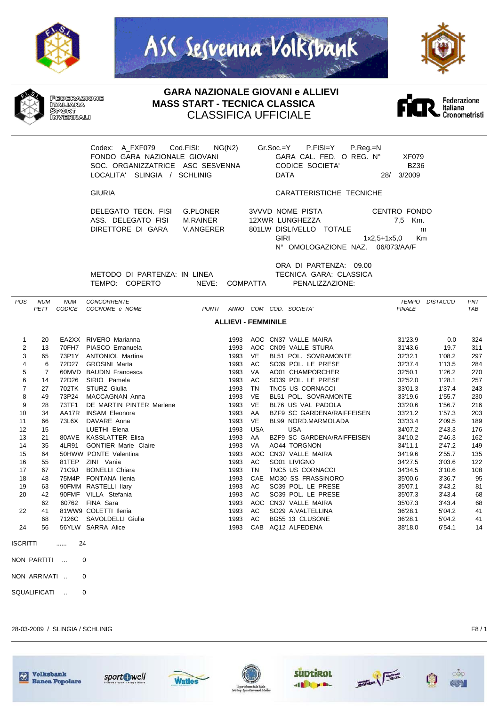







**GARA NAZIONALE GIOVANI e ALLIEVI MASS START - TECNICA CLASSICA** CLASSIFICA UFFICIALE



Codex: A\_FXF079 Cod.FISI: NG(N2) Gr.Soc.=Y P.FISI=Y P.Reg.=N FONDO GARA NAZIONALE GIOVANI GARA CAL. FED. O REG. N° XF079 SOC. ORGANIZZATRICE ASC SESVENNA CODICE SOCIETA' BZ36 LOCALITA' SLINGIA / SCHLINIG

GIURIA CARATTERISTICHE TECNICHE

DELEGATO TECN. FISI G.PLONER ASS. DELEGATO FISI M.RAINER DIRETTORE DI GARA V.ANGERER 8

| 3VVVD NOME PISTA                 | CENTRO FONDO   |         |
|----------------------------------|----------------|---------|
| 12XWR LUNGHEZZA                  |                | 7.5 Km. |
| 801LW DISLIVELLO TOTALE          |                | m       |
| GIRI                             | 1x2.5+1x5.0 Km |         |
| N° OMOLOGAZIONE NAZ. 06/073/AA/F |                |         |

METODO DI PARTENZA: IN LINEA TECNICA GARA: CLASSICA TEMPO: COPERTO NEVE: COMPATTA PENALIZZAZIONE:

ORA DI PARTENZA: 09.00

| <b>POS</b>                 | <b>NUM</b>     | <b>NUM</b>    | <b>CONCORRENTE</b>          |              |      |            |  |                            | TEMPO         | <b>DISTACCO</b> | PNT |
|----------------------------|----------------|---------------|-----------------------------|--------------|------|------------|--|----------------------------|---------------|-----------------|-----|
|                            | <b>PETT</b>    | <b>CODICE</b> | COGNOME e NOME              | <b>PUNTI</b> |      |            |  | ANNO COM COD. SOCIETA'     | <b>FINALE</b> |                 | TAB |
| <b>ALLIEVI - FEMMINILE</b> |                |               |                             |              |      |            |  |                            |               |                 |     |
| $\mathbf{1}$               | 20             |               | EA2XX RIVERO Marianna       |              | 1993 |            |  | AOC CN37 VALLE MAIRA       | 31'23.9       | 0.0             | 324 |
| $\overline{2}$             | 13             | 70FH7         | PIASCO Emanuela             |              | 1993 |            |  | AOC CN09 VALLE STURA       | 31'43.6       | 19.7            | 311 |
| 3                          | 65             | 73P1Y         | <b>ANTONIOL Martina</b>     |              | 1993 | <b>VE</b>  |  | BL51 POL. SOVRAMONTE       | 32'32.1       | 1'08.2          | 297 |
| 4                          | 6              | 72D27         | <b>GROSINI Marta</b>        |              | 1993 | AC         |  | SO39 POL. LE PRESE         | 32'37.4       | 1'13.5          | 284 |
| 5                          | $\overline{7}$ | 60MVD         | <b>BAUDIN Francesca</b>     |              | 1993 | <b>VA</b>  |  | AO01 CHAMPORCHER           | 32'50.1       | 1'26.2          | 270 |
| 6                          | 14             | 72D26         | SIRIO Pamela                |              | 1993 | AC         |  | SO39 POL. LE PRESE         | 32'52.0       | 1'28.1          | 257 |
| 7                          | 27             | 702TK         | STURZ Giulia                |              | 1993 | <b>TN</b>  |  | TNC5 US CORNACCI           | 33'01.3       | 1'37.4          | 243 |
| 8                          | 49             | 73P24         | MACCAGNAN Anna              |              | 1993 | <b>VE</b>  |  | BL51 POL. SOVRAMONTE       | 33'19.6       | 1'55.7          | 230 |
| 9                          | 28             | 73TF1         | DE MARTIN PINTER Marlene    |              | 1993 | <b>VE</b>  |  | BL76 US VAL PADOLA         | 33'20.6       | 1'56.7          | 216 |
| 10                         | 34             | AA17R         | <b>INSAM Eleonora</b>       |              | 1993 | AA         |  | BZF9 SC GARDENA/RAIFFEISEN | 33'21.2       | 1'57.3          | 203 |
| 11                         | 66             | 73L6X         | DAVARE Anna                 |              | 1993 | <b>VE</b>  |  | BL99 NORD.MARMOLADA        | 33'33.4       | 2'09.5          | 189 |
| 12                         | 15             |               | LUETHI Elena                |              | 1993 | <b>USA</b> |  | <b>USA</b>                 | 34'07.2       | 2'43.3          | 176 |
| 13                         | 21             | 80AVE         | <b>KASSLATTER Elisa</b>     |              | 1993 | AA         |  | BZF9 SC GARDENA/RAIFFEISEN | 34'10.2       | 2'46.3          | 162 |
| 14                         | 35             | 4LR91         | <b>GONTIER Marie Claire</b> |              | 1993 | VA.        |  | AO44 TORGNON               | 34'11.1       | 2'47.2          | 149 |
| 15                         | 64             |               | 50HWW PONTE Valentina       |              | 1993 | AOC        |  | CN37 VALLE MAIRA           | 34'19.6       | 2'55.7          | 135 |
| 16                         | 55             | 81TEP         | ZINI Vania                  |              | 1993 | AC         |  | SO01 LIVIGNO               | 34'27.5       | 3'03.6          | 122 |
| 17                         | 67             | 71C9J         | <b>BONELLI Chiara</b>       |              | 1993 | <b>TN</b>  |  | TNC5 US CORNACCI           | 34'34.5       | 3'10.6          | 108 |
| 18                         | 48             | 75M4P         | <b>FONTANA Ilenia</b>       |              | 1993 | CAE        |  | <b>MO30 SS FRASSINORO</b>  | 35'00.6       | 3'36.7          | 95  |
| 19                         | 63             |               | 90FMM RASTELLI Ilary        |              | 1993 | AC.        |  | SO39 POL. LE PRESE         | 35'07.1       | 3'43.2          | 81  |
| 20                         | 42             |               | 90FMF VILLA Stefania        |              | 1993 | AC         |  | SO39 POL. LE PRESE         | 35'07.3       | 3'43.4          | 68  |
|                            | 62             | 60762         | FINA Sara                   |              | 1993 | AOC        |  | CN37 VALLE MAIRA           | 35'07.3       | 3'43.4          | 68  |
| 22                         | 41             |               | 81WW9 COLETTI Ilenia        |              | 1993 | AC         |  | SO29 A.VALTELLINA          | 36'28.1       | 5'04.2          | 41  |
|                            | 68             | 7126C         | SAVOLDELLI Giulia           |              | 1993 | AC         |  | BG55 13 CLUSONE            | 36'28.1       | 5'04.2          | 41  |
| 24                         | 56             |               | 56YLW SARRA Alice           |              | 1993 | CAB        |  | AQ12 ALFEDENA              | 38'18.0       | 6'54.1          | 14  |
| <b>ISCRITTI</b>            |                | 24<br>.       |                             |              |      |            |  |                            |               |                 |     |
|                            | NON PARTITI    | $\cdots$      | 0                           |              |      |            |  |                            |               |                 |     |

NON ARRIVATI .. 0

SQUALIFICATI .. 0

28-03-2009 / SLINGIA / SCHLINIG F8 / 1











 $\circ\circ$